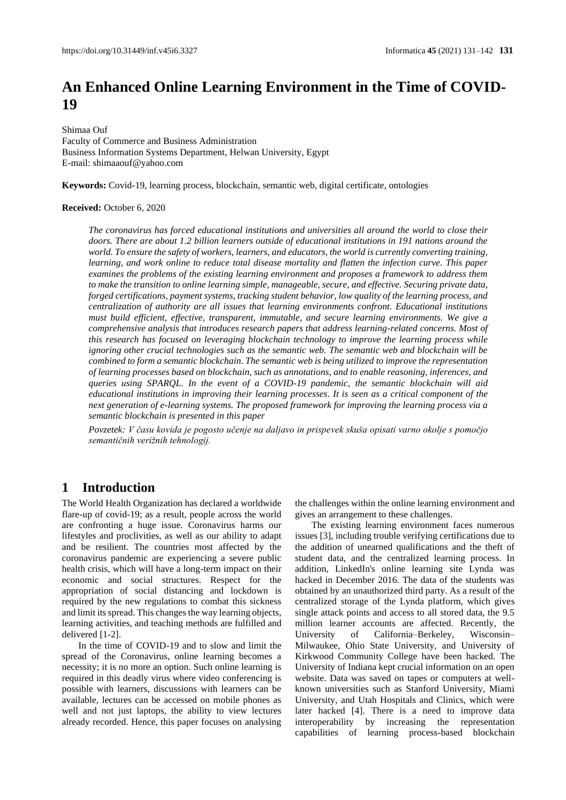# **An Enhanced Online Learning Environment in the Time of COVID-19**

Shimaa Ouf Faculty of Commerce and Business Administration Business Information Systems Department, Helwan University, Egypt E-mail: shimaaouf@yahoo.com

**Keywords:** Covid-19, learning process, blockchain, semantic web, digital certificate, ontologies

#### **Received:** October 6, 2020

*The coronavirus has forced educational institutions and universities all around the world to close their doors. There are about 1.2 billion learners outside of educational institutions in 191 nations around the world. To ensure the safety of workers, learners, and educators, the world is currently converting training, learning, and work online to reduce total disease mortality and flatten the infection curve. This paper examines the problems of the existing learning environment and proposes a framework to address them to make the transition to online learning simple, manageable, secure, and effective. Securing private data, forged certifications, payment systems, tracking student behavior, low quality of the learning process, and centralization of authority are all issues that learning environments confront. Educational institutions must build efficient, effective, transparent, immutable, and secure learning environments. We give a comprehensive analysis that introduces research papers that address learning-related concerns. Most of this research has focused on leveraging blockchain technology to improve the learning process while ignoring other crucial technologies such as the semantic web. The semantic web and blockchain will be combined to form a semantic blockchain. The semantic web is being utilized to improve the representation of learning processes based on blockchain, such as annotations, and to enable reasoning, inferences, and queries using SPARQL. In the event of a COVID-19 pandemic, the semantic blockchain will aid educational institutions in improving their learning processes. It is seen as a critical component of the next generation of e-learning systems. The proposed framework for improving the learning process via a semantic blockchain is presented in this paper*

*Povzetek: V času kovida je pogosto učenje na daljavo in prispevek skuša opisati varno okolje s pomočjo semantičnih verižnih tehnologij.*

### **1 Introduction**

The World Health Organization has declared a worldwide flare-up of covid-19; as a result, people across the world are confronting a huge issue. Coronavirus harms our lifestyles and proclivities, as well as our ability to adapt and be resilient. The countries most affected by the coronavirus pandemic are experiencing a severe public health crisis, which will have a long-term impact on their economic and social structures. Respect for the appropriation of social distancing and lockdown is required by the new regulations to combat this sickness and limit its spread. This changes the way learning objects, learning activities, and teaching methods are fulfilled and delivered [1-2].

In the time of COVID-19 and to slow and limit the spread of the Coronavirus, online learning becomes a necessity; it is no more an option. Such online learning is required in this deadly virus where video conferencing is possible with learners, discussions with learners can be available, lectures can be accessed on mobile phones as well and not just laptops, the ability to view lectures already recorded. Hence, this paper focuses on analysing

the challenges within the online learning environment and gives an arrangement to these challenges.

The existing learning environment faces numerous issues [3], including trouble verifying certifications due to the addition of unearned qualifications and the theft of student data, and the centralized learning process. In addition, LinkedIn's online learning site Lynda was hacked in December 2016. The data of the students was obtained by an unauthorized third party. As a result of the centralized storage of the Lynda platform, which gives single attack points and access to all stored data, the 9.5 million learner accounts are affected. Recently, the University of California–Berkeley, Wisconsin– Milwaukee, Ohio State University, and University of Kirkwood Community College have been hacked. The University of Indiana kept crucial information on an open website. Data was saved on tapes or computers at wellknown universities such as Stanford University, Miami University, and Utah Hospitals and Clinics, which were later hacked [4]. There is a need to improve data interoperability by increasing the representation capabilities of learning process-based blockchain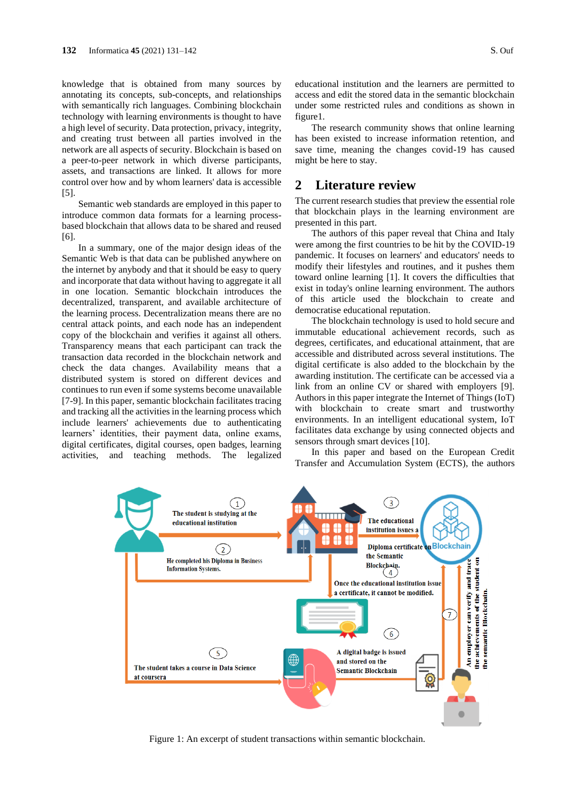knowledge that is obtained from many sources by annotating its concepts, sub-concepts, and relationships with semantically rich languages. Combining blockchain technology with learning environments is thought to have a high level of security. Data protection, privacy, integrity, and creating trust between all parties involved in the network are all aspects of security. Blockchain is based on a peer-to-peer network in which diverse participants, assets, and transactions are linked. It allows for more control over how and by whom learners' data is accessible [5].

Semantic web standards are employed in this paper to introduce common data formats for a learning processbased blockchain that allows data to be shared and reused [6].

In a summary, one of the major design ideas of the Semantic Web is that data can be published anywhere on the internet by anybody and that it should be easy to query and incorporate that data without having to aggregate it all in one location. Semantic blockchain introduces the decentralized, transparent, and available architecture of the learning process. Decentralization means there are no central attack points, and each node has an independent copy of the blockchain and verifies it against all others. Transparency means that each participant can track the transaction data recorded in the blockchain network and check the data changes. Availability means that a distributed system is stored on different devices and continues to run even if some systems become unavailable [7-9]. In this paper, semantic blockchain facilitates tracing and tracking all the activities in the learning process which include learners' achievements due to authenticating learners' identities, their payment data, online exams, digital certificates, digital courses, open badges, learning activities, and teaching methods. The legalized

educational institution and the learners are permitted to access and edit the stored data in the semantic blockchain under some restricted rules and conditions as shown in figure1.

The research community shows that online learning has been existed to increase information retention, and save time, meaning the changes covid-19 has caused might be here to stay.

### **2 Literature review**

The current research studies that preview the essential role that blockchain plays in the learning environment are presented in this part.

The authors of this paper reveal that China and Italy were among the first countries to be hit by the COVID-19 pandemic. It focuses on learners' and educators' needs to modify their lifestyles and routines, and it pushes them toward online learning [1]. It covers the difficulties that exist in today's online learning environment. The authors of this article used the blockchain to create and democratise educational reputation.

The blockchain technology is used to hold secure and immutable educational achievement records, such as degrees, certificates, and educational attainment, that are accessible and distributed across several institutions. The digital certificate is also added to the blockchain by the awarding institution. The certificate can be accessed via a link from an online CV or shared with employers [9]. Authors in this paper integrate the Internet of Things (IoT) with blockchain to create smart and trustworthy environments. In an intelligent educational system, IoT facilitates data exchange by using connected objects and sensors through smart devices [10].

In this paper and based on the European Credit Transfer and Accumulation System (ECTS), the authors



Figure 1: An excerpt of student transactions within semantic blockchain.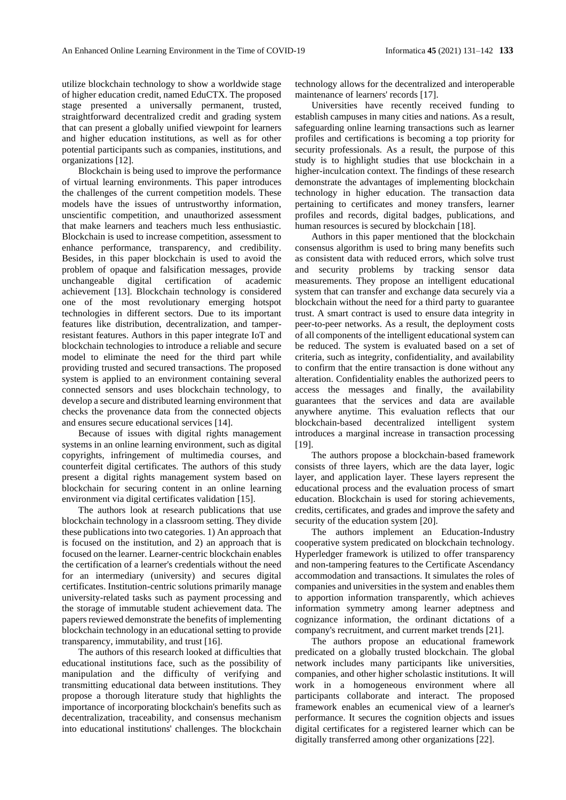utilize blockchain technology to show a worldwide stage of higher education credit, named EduCTX. The proposed stage presented a universally permanent, trusted, straightforward decentralized credit and grading system that can present a globally unified viewpoint for learners and higher education institutions, as well as for other potential participants such as companies, institutions, and organizations [12].

Blockchain is being used to improve the performance of virtual learning environments. This paper introduces the challenges of the current competition models. These models have the issues of untrustworthy information, unscientific competition, and unauthorized assessment that make learners and teachers much less enthusiastic. Blockchain is used to increase competition, assessment to enhance performance, transparency, and credibility. Besides, in this paper blockchain is used to avoid the problem of opaque and falsification messages, provide unchangeable digital certification of academic achievement [13]. Blockchain technology is considered one of the most revolutionary emerging hotspot technologies in different sectors. Due to its important features like distribution, decentralization, and tamperresistant features. Authors in this paper integrate IoT and blockchain technologies to introduce a reliable and secure model to eliminate the need for the third part while providing trusted and secured transactions. The proposed system is applied to an environment containing several connected sensors and uses blockchain technology, to develop a secure and distributed learning environment that checks the provenance data from the connected objects and ensures secure educational services [14].

Because of issues with digital rights management systems in an online learning environment, such as digital copyrights, infringement of multimedia courses, and counterfeit digital certificates. The authors of this study present a digital rights management system based on blockchain for securing content in an online learning environment via digital certificates validation [15].

The authors look at research publications that use blockchain technology in a classroom setting. They divide these publications into two categories. 1) An approach that is focused on the institution, and 2) an approach that is focused on the learner. Learner-centric blockchain enables the certification of a learner's credentials without the need for an intermediary (university) and secures digital certificates. Institution-centric solutions primarily manage university-related tasks such as payment processing and the storage of immutable student achievement data. The papers reviewed demonstrate the benefits of implementing blockchain technology in an educational setting to provide transparency, immutability, and trust [16].

The authors of this research looked at difficulties that educational institutions face, such as the possibility of manipulation and the difficulty of verifying and transmitting educational data between institutions. They propose a thorough literature study that highlights the importance of incorporating blockchain's benefits such as decentralization, traceability, and consensus mechanism into educational institutions' challenges. The blockchain

technology allows for the decentralized and interoperable maintenance of learners' records [17].

Universities have recently received funding to establish campuses in many cities and nations. As a result, safeguarding online learning transactions such as learner profiles and certifications is becoming a top priority for security professionals. As a result, the purpose of this study is to highlight studies that use blockchain in a higher-inculcation context. The findings of these research demonstrate the advantages of implementing blockchain technology in higher education. The transaction data pertaining to certificates and money transfers, learner profiles and records, digital badges, publications, and human resources is secured by blockchain [18].

Authors in this paper mentioned that the blockchain consensus algorithm is used to bring many benefits such as consistent data with reduced errors, which solve trust and security problems by tracking sensor data measurements. They propose an intelligent educational system that can transfer and exchange data securely via a blockchain without the need for a third party to guarantee trust. A smart contract is used to ensure data integrity in peer-to-peer networks. As a result, the deployment costs of all components of the intelligent educational system can be reduced. The system is evaluated based on a set of criteria, such as integrity, confidentiality, and availability to confirm that the entire transaction is done without any alteration. Confidentiality enables the authorized peers to access the messages and finally, the availability guarantees that the services and data are available anywhere anytime. This evaluation reflects that our blockchain-based decentralized intelligent system introduces a marginal increase in transaction processing [19].

The authors propose a blockchain-based framework consists of three layers, which are the data layer, logic layer, and application layer. These layers represent the educational process and the evaluation process of smart education. Blockchain is used for storing achievements, credits, certificates, and grades and improve the safety and security of the education system [20].

The authors implement an Education-Industry cooperative system predicated on blockchain technology. Hyperledger framework is utilized to offer transparency and non-tampering features to the Certificate Ascendancy accommodation and transactions. It simulates the roles of companies and universities in the system and enables them to apportion information transparently, which achieves information symmetry among learner adeptness and cognizance information, the ordinant dictations of a company's recruitment, and current market trends [21].

The authors propose an educational framework predicated on a globally trusted blockchain. The global network includes many participants like universities, companies, and other higher scholastic institutions. It will work in a homogeneous environment where all participants collaborate and interact. The proposed framework enables an ecumenical view of a learner's performance. It secures the cognition objects and issues digital certificates for a registered learner which can be digitally transferred among other organizations [22].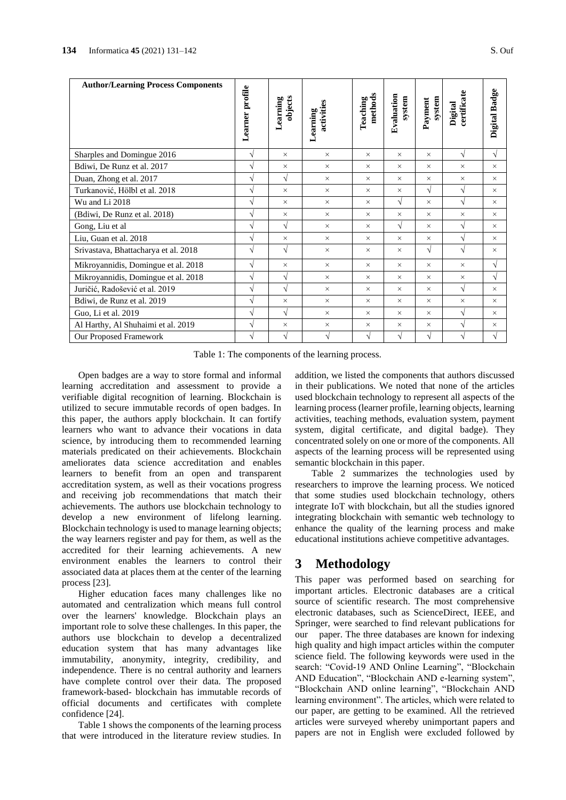| <b>Author/Learning Process Components</b>                                                                                                                                                                                                                                                                                                                                                                                                                                                                                                                                                                                                                                                                                                                                                                                                                                                                                                                                                                                                                                                                                                                                                                                                                                                                                                                                                                                                                                                                                                                                                                                                                                          |                       |                     |                        |                     |                      |                   |                        |               |  |
|------------------------------------------------------------------------------------------------------------------------------------------------------------------------------------------------------------------------------------------------------------------------------------------------------------------------------------------------------------------------------------------------------------------------------------------------------------------------------------------------------------------------------------------------------------------------------------------------------------------------------------------------------------------------------------------------------------------------------------------------------------------------------------------------------------------------------------------------------------------------------------------------------------------------------------------------------------------------------------------------------------------------------------------------------------------------------------------------------------------------------------------------------------------------------------------------------------------------------------------------------------------------------------------------------------------------------------------------------------------------------------------------------------------------------------------------------------------------------------------------------------------------------------------------------------------------------------------------------------------------------------------------------------------------------------|-----------------------|---------------------|------------------------|---------------------|----------------------|-------------------|------------------------|---------------|--|
|                                                                                                                                                                                                                                                                                                                                                                                                                                                                                                                                                                                                                                                                                                                                                                                                                                                                                                                                                                                                                                                                                                                                                                                                                                                                                                                                                                                                                                                                                                                                                                                                                                                                                    | Learner profile       | objects<br>Learning | activities<br>Learning | methods<br>Teaching | Evaluation<br>system | system<br>Payment | certificate<br>Digital | Digital Badge |  |
| Sharples and Domingue 2016                                                                                                                                                                                                                                                                                                                                                                                                                                                                                                                                                                                                                                                                                                                                                                                                                                                                                                                                                                                                                                                                                                                                                                                                                                                                                                                                                                                                                                                                                                                                                                                                                                                         | $\sqrt{}$             | $\times$            | $\times$               | ×                   | $\times$             | $\times$          | $\sqrt{ }$             | $\sqrt{}$     |  |
| Bdiwi, De Runz et al. 2017                                                                                                                                                                                                                                                                                                                                                                                                                                                                                                                                                                                                                                                                                                                                                                                                                                                                                                                                                                                                                                                                                                                                                                                                                                                                                                                                                                                                                                                                                                                                                                                                                                                         | $\sqrt{}$             | ×                   | $\times$               | $\times$            | $\times$             | $\times$          | $\times$               | $\times$      |  |
| Duan, Zhong et al. 2017                                                                                                                                                                                                                                                                                                                                                                                                                                                                                                                                                                                                                                                                                                                                                                                                                                                                                                                                                                                                                                                                                                                                                                                                                                                                                                                                                                                                                                                                                                                                                                                                                                                            | $\sqrt{}$             | $\sqrt{}$           | $\times$               | $\times$            | $\times$             | $\times$          | $\times$               | $\times$      |  |
| Turkanović, Hölbl et al. 2018                                                                                                                                                                                                                                                                                                                                                                                                                                                                                                                                                                                                                                                                                                                                                                                                                                                                                                                                                                                                                                                                                                                                                                                                                                                                                                                                                                                                                                                                                                                                                                                                                                                      | $\sqrt{}$             | $\times$            | $\times$               | $\times$            | $\times$             | $\sqrt{}$         | $\sqrt{}$              | $\times$      |  |
| Wu and Li 2018                                                                                                                                                                                                                                                                                                                                                                                                                                                                                                                                                                                                                                                                                                                                                                                                                                                                                                                                                                                                                                                                                                                                                                                                                                                                                                                                                                                                                                                                                                                                                                                                                                                                     | $\sqrt{}$             | $\times$            | $\times$               | $\times$            | $\sqrt{}$            | $\times$          | $\sqrt{}$              | $\times$      |  |
| (Bdiwi, De Runz et al. 2018)                                                                                                                                                                                                                                                                                                                                                                                                                                                                                                                                                                                                                                                                                                                                                                                                                                                                                                                                                                                                                                                                                                                                                                                                                                                                                                                                                                                                                                                                                                                                                                                                                                                       | $\overline{\sqrt{ }}$ | $\times$            | $\times$               | $\times$            | $\times$             | $\times$          | $\times$               | $\times$      |  |
| Gong, Liu et al                                                                                                                                                                                                                                                                                                                                                                                                                                                                                                                                                                                                                                                                                                                                                                                                                                                                                                                                                                                                                                                                                                                                                                                                                                                                                                                                                                                                                                                                                                                                                                                                                                                                    | $\sqrt{}$             | $\sqrt{}$           | $\times$               | ×                   | $\sqrt{}$            | $\times$          | $\sqrt{}$              | $\times$      |  |
| Liu, Guan et al. 2018                                                                                                                                                                                                                                                                                                                                                                                                                                                                                                                                                                                                                                                                                                                                                                                                                                                                                                                                                                                                                                                                                                                                                                                                                                                                                                                                                                                                                                                                                                                                                                                                                                                              | $\sqrt{}$             | $\times$            | ×                      | $\times$            | $\times$             | $\times$          | $\sqrt{}$              | $\times$      |  |
| Srivastava, Bhattacharya et al. 2018                                                                                                                                                                                                                                                                                                                                                                                                                                                                                                                                                                                                                                                                                                                                                                                                                                                                                                                                                                                                                                                                                                                                                                                                                                                                                                                                                                                                                                                                                                                                                                                                                                               | $\sqrt{}$             | $\sqrt{}$           | $\times$               | ×                   | $\times$             | $\sqrt{}$         | $\sqrt{}$              | $\times$      |  |
| Mikroyannidis, Domingue et al. 2018                                                                                                                                                                                                                                                                                                                                                                                                                                                                                                                                                                                                                                                                                                                                                                                                                                                                                                                                                                                                                                                                                                                                                                                                                                                                                                                                                                                                                                                                                                                                                                                                                                                | $\sqrt{}$             | $\times$            | $\times$               | $\times$            | $\times$             | $\times$          | $\times$               | $\sqrt{}$     |  |
| Mikroyannidis, Domingue et al. 2018                                                                                                                                                                                                                                                                                                                                                                                                                                                                                                                                                                                                                                                                                                                                                                                                                                                                                                                                                                                                                                                                                                                                                                                                                                                                                                                                                                                                                                                                                                                                                                                                                                                | $\sqrt{ }$            | $\sqrt{}$           | $\times$               | ×                   | $\times$             | $\times$          | $\times$               | $\sqrt{ }$    |  |
| Juričić, Radošević et al. 2019                                                                                                                                                                                                                                                                                                                                                                                                                                                                                                                                                                                                                                                                                                                                                                                                                                                                                                                                                                                                                                                                                                                                                                                                                                                                                                                                                                                                                                                                                                                                                                                                                                                     | $\sqrt{}$             | $\sqrt{}$           | $\times$               | ×                   | $\times$             | $\times$          | $\sqrt{ }$             | $\times$      |  |
| Bdiwi, de Runz et al. 2019                                                                                                                                                                                                                                                                                                                                                                                                                                                                                                                                                                                                                                                                                                                                                                                                                                                                                                                                                                                                                                                                                                                                                                                                                                                                                                                                                                                                                                                                                                                                                                                                                                                         | $\sqrt{}$             | $\times$            | ×                      | ×                   | $\times$             | $\times$          | $\times$               | $\times$      |  |
| Guo, Li et al. 2019                                                                                                                                                                                                                                                                                                                                                                                                                                                                                                                                                                                                                                                                                                                                                                                                                                                                                                                                                                                                                                                                                                                                                                                                                                                                                                                                                                                                                                                                                                                                                                                                                                                                | $\sqrt{}$             | $\sqrt{}$           | $\times$               | ×                   | $\times$             | $\times$          | $\sqrt{}$              | $\times$      |  |
| Al Harthy, Al Shuhaimi et al. 2019                                                                                                                                                                                                                                                                                                                                                                                                                                                                                                                                                                                                                                                                                                                                                                                                                                                                                                                                                                                                                                                                                                                                                                                                                                                                                                                                                                                                                                                                                                                                                                                                                                                 | $\sqrt{}$             | ×                   | $\times$               | ×                   | $\times$             | $\times$          | $\sqrt{}$              | $\times$      |  |
| Our Proposed Framework                                                                                                                                                                                                                                                                                                                                                                                                                                                                                                                                                                                                                                                                                                                                                                                                                                                                                                                                                                                                                                                                                                                                                                                                                                                                                                                                                                                                                                                                                                                                                                                                                                                             | $\sqrt{2}$            | $\sqrt{2}$          | $\sqrt{}$              | $\sqrt{}$           | $\sqrt{}$            | $\sqrt{}$         | $\sqrt{}$              | $\sqrt{2}$    |  |
| ilized to secure immutable records of open badges. In<br>learning process (learner profile, learning objects, learning<br>activities, teaching methods, evaluation system, payment<br>is paper, the authors apply blockchain. It can fortify<br>arners who want to advance their vocations in data<br>system, digital certificate, and digital badge). They<br>tience, by introducing them to recommended learning<br>concentrated solely on one or more of the components. All<br>aterials predicated on their achievements. Blockchain<br>aspects of the learning process will be represented using<br>neliorates data science accreditation and enables<br>semantic blockchain in this paper.<br>arners to benefit from an open and transparent<br>Table 2 summarizes the technologies used by<br>researchers to improve the learning process. We noticed<br>creditation system, as well as their vocations progress<br>that some studies used blockchain technology, others<br>nd receiving job recommendations that match their<br>chievements. The authors use blockchain technology to<br>integrate IoT with blockchain, but all the studies ignored<br>evelop a new environment of lifelong learning.<br>integrating blockchain with semantic web technology to<br>lockchain technology is used to manage learning objects;<br>enhance the quality of the learning process and make<br>e way learners register and pay for them, as well as the<br>educational institutions achieve competitive advantages.<br>credited for their learning achievements. A new<br>ivironment enables the learners to control their<br>3                                                    |                       |                     |                        |                     |                      |                   |                        |               |  |
| Methodology<br>sociated data at places them at the center of the learning<br>This paper was performed based on searching for<br>ocess [23].<br>important articles. Electronic databases are a critical<br>Higher education faces many challenges like no<br>source of scientific research. The most comprehensive<br>itomated and centralization which means full control<br>electronic databases, such as ScienceDirect, IEEE, and<br>ver the learners' knowledge. Blockchain plays an<br>Springer, were searched to find relevant publications for<br>aportant role to solve these challenges. In this paper, the<br>our paper. The three databases are known for indexing<br>thors use blockchain to develop a decentralized<br>high quality and high impact articles within the computer<br>lucation system that has many advantages like<br>science field. The following keywords were used in the<br>nmutability, anonymity, integrity, credibility,<br>and<br>search: "Covid-19 AND Online Learning", "Blockchain<br>dependence. There is no central authority and learners<br>AND Education", "Blockchain AND e-learning system",<br>ave complete control over their data. The proposed<br>"Blockchain AND online learning", "Blockchain AND<br>amework-based- blockchain has immutable records of<br>learning environment". The articles, which were related to<br>ficial documents and certificates with complete<br>our paper, are getting to be examined. All the retrieved<br>onfidence [24].<br>articles were surveyed whereby unimportant papers and<br>Table 1 shows the components of the learning process<br>papers are not in English were excluded followed by |                       |                     |                        |                     |                      |                   |                        |               |  |

Table 1: The components of the learning process.

Table 1 shows the components of the learning process that were introduced in the literature review studies. In

# **3 Methodology**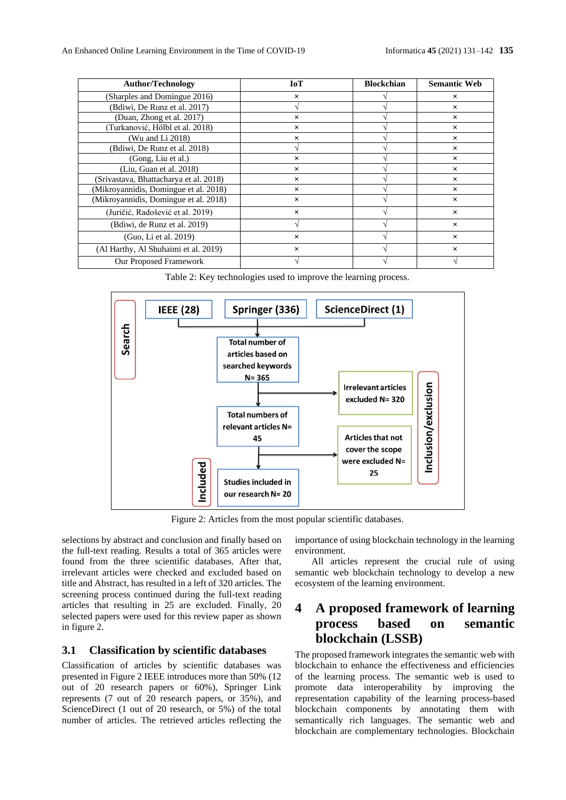| <b>Author/Technology</b>               | <b>IoT</b> | <b>Blockchian</b> | <b>Semantic Web</b> |
|----------------------------------------|------------|-------------------|---------------------|
| (Sharples and Domingue 2016)           | $\times$   |                   | $\times$            |
| (Bdiwi, De Runz et al. 2017)           |            |                   | ×                   |
| (Duan, Zhong et al. 2017)              | $\times$   |                   | ×                   |
| (Turkanović, Hölbl et al. 2018)        | $\times$   |                   | ×                   |
| (Wu and Li 2018)                       | $\times$   |                   | $\times$            |
| (Bdiwi, De Runz et al. 2018)           |            |                   | $\times$            |
| (Gong, Liu et al.)                     | $\times$   |                   | $\times$            |
| (Liu, Guan et al. 2018)                | $\times$   |                   | $\times$            |
| (Srivastava, Bhattacharya et al. 2018) | $\times$   |                   | $\times$            |
| (Mikroyannidis, Domingue et al. 2018)  | $\times$   |                   | $\times$            |
| (Mikroyannidis, Domingue et al. 2018)  | $\times$   |                   | $\times$            |
| (Juričić, Radošević et al. 2019)       | $\times$   |                   | $\times$            |
| (Bdiwi, de Runz et al. 2019)           |            |                   | $\times$            |
| (Guo, Li et al. 2019)                  | $\times$   |                   | $\times$            |
| (Al Harthy, Al Shuhaimi et al. 2019)   | $\times$   |                   | ×                   |
| Our Proposed Framework                 |            |                   |                     |

Table 2: Key technologies used to improve the learning process.



Figure 2: Articles from the most popular scientific databases.

selections by abstract and conclusion and finally based on the full-text reading. Results a total of 365 articles were found from the three scientific databases. After that, irrelevant articles were checked and excluded based on title and Abstract, has resulted in a left of 320 articles. The screening process continued during the full-text reading articles that resulting in 25 are excluded. Finally, 20 selected papers were used for this review paper as shown in figure 2.

#### **3.1 Classification by scientific databases**

Classification of articles by scientific databases was presented in Figure 2 IEEE introduces more than 50% (12 out of 20 research papers or 60%), Springer Link represents (7 out of 20 research papers, or 35%), and ScienceDirect (1 out of 20 research, or 5%) of the total number of articles. The retrieved articles reflecting the

importance of using blockchain technology in the learning environment.

All articles represent the crucial rule of using semantic web blockchain technology to develop a new ecosystem of the learning environment.

## **4 A proposed framework of learning process based on semantic blockchain (LSSB)**

The proposed framework integrates the semantic web with blockchain to enhance the effectiveness and efficiencies of the learning process. The semantic web is used to promote data interoperability by improving the representation capability of the learning process-based blockchain components by annotating them with semantically rich languages. The semantic web and blockchain are complementary technologies. Blockchain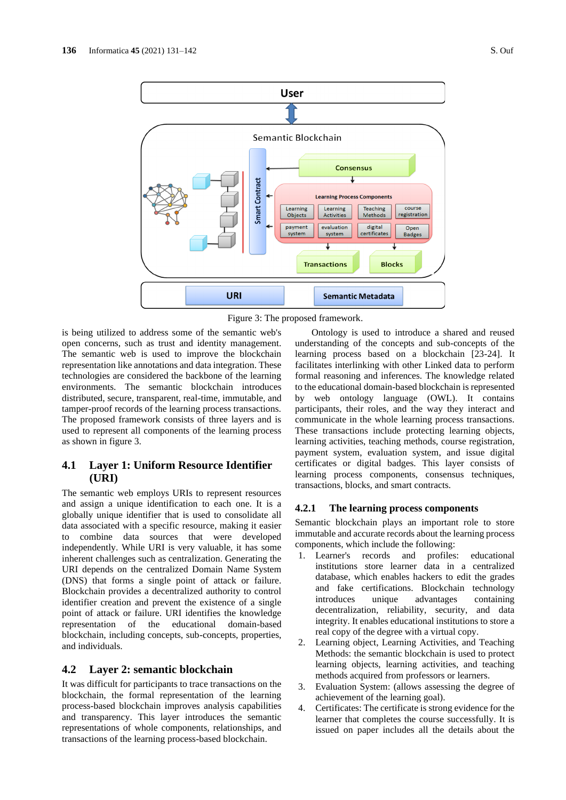

**Badges Transactions Blocks URI Semantic Metadata** Figure 3: The proposed framework.

is being utilized to address some of the semantic web's open concerns, such as trust and identity management. The semantic web is used to improve the blockchain representation like annotations and data integration. These technologies are considered the backbone of the learning environments. The semantic blockchain introduces distributed, secure, transparent, real-time, immutable, and tamper-proof records of the learning process transactions. The proposed framework consists of three layers and is used to represent all components of the learning process as shown in figure 3.

## **4.1 Layer 1: Uniform Resource Identifier (URI)**

The semantic web employs URIs to represent resources and assign a unique identification to each one. It is a globally unique identifier that is used to consolidate all data associated with a specific resource, making it easier to combine data sources that were developed independently. While URI is very valuable, it has some inherent challenges such as centralization. Generating the URI depends on the centralized Domain Name System (DNS) that forms a single point of attack or failure. Blockchain provides a decentralized authority to control identifier creation and prevent the existence of a single point of attack or failure. URI identifies the knowledge representation of the educational domain-based blockchain, including concepts, sub-concepts, properties, and individuals.

#### **4.2 Layer 2: semantic blockchain**

It was difficult for participants to trace transactions on the blockchain, the formal representation of the learning process-based blockchain improves analysis capabilities and transparency. This layer introduces the semantic representations of whole components, relationships, and transactions of the learning process-based blockchain.

Ontology is used to introduce a shared and reused understanding of the concepts and sub-concepts of the learning process based on a blockchain [23-24]. It facilitates interlinking with other Linked data to perform formal reasoning and inferences. The knowledge related to the educational domain-based blockchain is represented by web ontology language (OWL). It contains participants, their roles, and the way they interact and communicate in the whole learning process transactions. These transactions include protecting learning objects, learning activities, teaching methods, course registration, payment system, evaluation system, and issue digital certificates or digital badges. This layer consists of learning process components, consensus techniques, transactions, blocks, and smart contracts.

#### **4.2.1 The learning process components**

Semantic blockchain plays an important role to store immutable and accurate records about the learning process components, which include the following:

- 1. Learner's records and profiles: educational institutions store learner data in a centralized database, which enables hackers to edit the grades and fake certifications. Blockchain technology introduces unique advantages containing decentralization, reliability, security, and data integrity. It enables educational institutions to store a real copy of the degree with a virtual copy.
- 2. Learning object, Learning Activities, and Teaching Methods: the semantic blockchain is used to protect learning objects, learning activities, and teaching methods acquired from professors or learners.
- 3. Evaluation System: (allows assessing the degree of achievement of the learning goal).
- 4. Certificates: The certificate is strong evidence for the learner that completes the course successfully. It is issued on paper includes all the details about the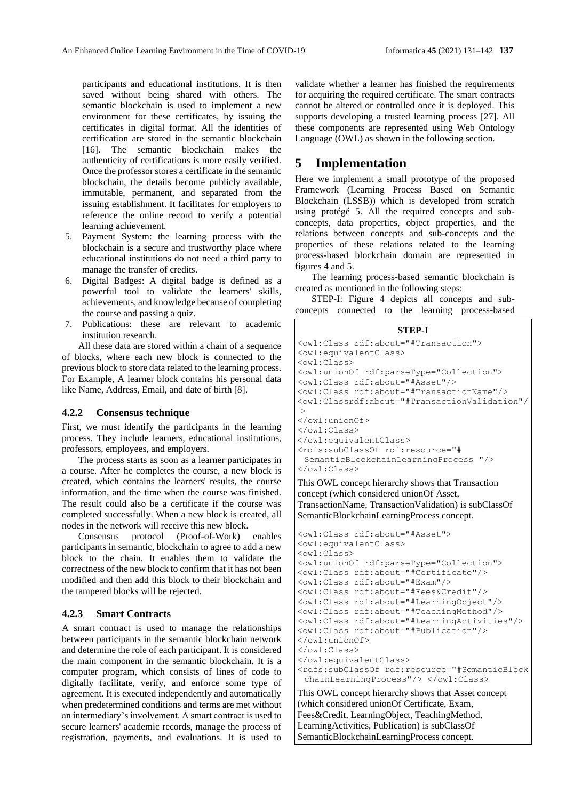participants and educational institutions. It is then saved without being shared with others. The semantic blockchain is used to implement a new environment for these certificates, by issuing the certificates in digital format. All the identities of certification are stored in the semantic blockchain [16]. The semantic blockchain makes the authenticity of certifications is more easily verified. Once the professor stores a certificate in the semantic blockchain, the details become publicly available, immutable, permanent, and separated from the issuing establishment. It facilitates for employers to reference the online record to verify a potential learning achievement.

- 5. Payment System: the learning process with the blockchain is a secure and trustworthy place where educational institutions do not need a third party to manage the transfer of credits.
- 6. Digital Badges: A digital badge is defined as a powerful tool to validate the learners' skills, achievements, and knowledge because of completing the course and passing a quiz.
- 7. Publications: these are relevant to academic institution research.

All these data are stored within a chain of a sequence of blocks, where each new block is connected to the previous block to store data related to the learning process. For Example, A learner block contains his personal data like Name, Address, Email, and date of birth [8].

#### **4.2.2 Consensus technique**

First, we must identify the participants in the learning process. They include learners, educational institutions, professors, employees, and employers.

The process starts as soon as a learner participates in a course. After he completes the course, a new block is created, which contains the learners' results, the course information, and the time when the course was finished. The result could also be a certificate if the course was completed successfully. When a new block is created, all nodes in the network will receive this new block.

Consensus protocol (Proof-of-Work) enables participants in semantic, blockchain to agree to add a new block to the chain. It enables them to validate the correctness of the new block to confirm that it has not been modified and then add this block to their blockchain and the tampered blocks will be rejected.

#### **4.2.3 Smart Contracts**

A smart contract is used to manage the relationships between participants in the semantic blockchain network and determine the role of each participant. It is considered the main component in the semantic blockchain. It is a computer program, which consists of lines of code to digitally facilitate, verify, and enforce some type of agreement. It is executed independently and automatically when predetermined conditions and terms are met without an intermediary's involvement. A smart contract is used to secure learners' academic records, manage the process of registration, payments, and evaluations. It is used to

validate whether a learner has finished the requirements for acquiring the required certificate. The smart contracts cannot be altered or controlled once it is deployed. This supports developing a trusted learning process [27]. All these components are represented using Web Ontology Language (OWL) as shown in the following section.

## **5 Implementation**

Here we implement a small prototype of the proposed Framework (Learning Process Based on Semantic Blockchain (LSSB)) which is developed from scratch using protégé 5. All the required concepts and subconcepts, data properties, object properties, and the relations between concepts and sub-concepts and the properties of these relations related to the learning process-based blockchain domain are represented in figures 4 and 5.

The learning process-based semantic blockchain is created as mentioned in the following steps:

STEP-I: Figure 4 depicts all concepts and subconcepts connected to the learning process-based

| STEP-I                                                                                                                           |
|----------------------------------------------------------------------------------------------------------------------------------|
| <owl:class rdf:about="#Transaction"></owl:class>                                                                                 |
| <owl:equivalentclass></owl:equivalentclass>                                                                                      |
| <owl:class></owl:class>                                                                                                          |
| <owl:unionof rdf:parsetype="Collection"></owl:unionof>                                                                           |
| <owl:class rdf:about="#Asset"></owl:class>                                                                                       |
| <owl:class rdf:about="#TransactionName"></owl:class>                                                                             |
| <owl:classrdf:about="#transactionvalidation" <="" th=""></owl:classrdf:about="#transactionvalidation">                           |
| >                                                                                                                                |
|                                                                                                                                  |
| $\langle$ /owl:Class>                                                                                                            |
|                                                                                                                                  |
| <rdfs:subclassof rdf:resource="#&lt;/th&gt;&lt;/tr&gt;&lt;tr&gt;&lt;th&gt;SemanticBlockchainLearningProcess "></rdfs:subclassof> |
|                                                                                                                                  |
| This OWL concept hierarchy shows that Transaction                                                                                |
| concept (which considered unionOf Asset,                                                                                         |
|                                                                                                                                  |

TransactionName, TransactionValidation) is subClassOf SemanticBlockchainLearningProcess concept.

```
<owl:Class rdf:about="#Asset">
<owl:equivalentClass>
<owl:Class>
<owl:unionOf rdf:parseType="Collection">
<owl:Class rdf:about="#Certificate"/>
<owl:Class rdf:about="#Exam"/>
<owl:Class rdf:about="#Fees&Credit"/>
<owl:Class rdf:about="#LearningObject"/>
<owl:Class rdf:about="#TeachingMethod"/>
<owl:Class rdf:about="#LearningActivities"/>
<owl:Class rdf:about="#Publication"/>
</owl:unionOf>
</owl:Class>
</owl:equivalentClass>
<rdfs:subClassOf rdf:resource="#SemanticBlock
 chainLearningProcess"/> </owl:Class>
This OWL concept hierarchy shows that Asset concept
```
(which considered unionOf Certificate, Exam, Fees&Credit, LearningObject, TeachingMethod, LearningActivities, Publication) is subClassOf SemanticBlockchainLearningProcess concept.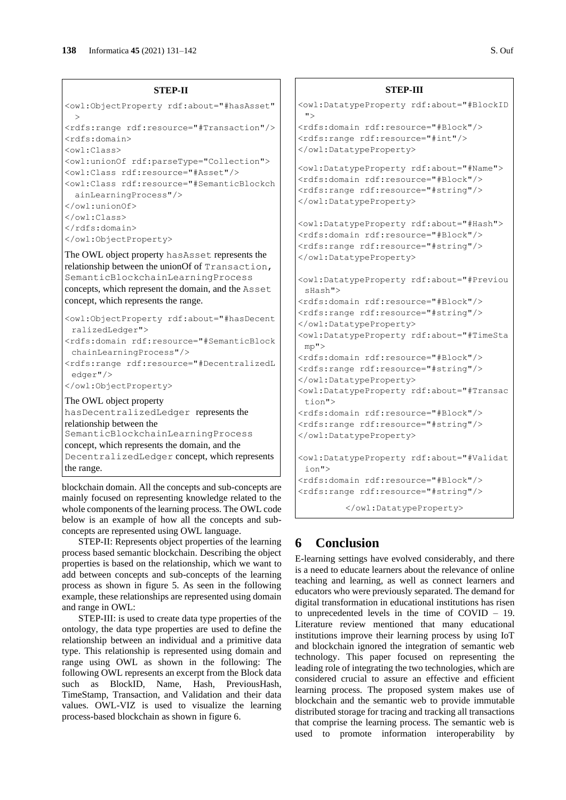```
<owl:ObjectProperty rdf:about="#hasAsset"
  >
<rdfs:range rdf:resource="#Transaction"/>
<rdfs:domain>
<owl:Class>
<owl:unionOf rdf:parseType="Collection">
<owl:Class rdf:resource="#Asset"/>
<owl:Class rdf:resource="#SemanticBlockch
 ainLearningProcess"/>
</owl:unionOf>
</owl:Class>
</rdfs:domain>
</owl:ObjectProperty>
```
The OWL object property hasAsset represents the relationship between the unionOf of Transaction, SemanticBlockchainLearningProcess concepts, which represent the domain, and the Asset concept, which represents the range.

```
<owl:ObjectProperty rdf:about="#hasDecent
 ralizedLedger">
<rdfs:domain rdf:resource="#SemanticBlock
 chainLearningProcess"/>
<rdfs:range rdf:resource="#DecentralizedL
 edger"/>
</owl:ObjectProperty>
The OWL object property 
hasDecentralizedLedger represents the 
relationship between the
```
SemanticBlockchainLearningProcess concept, which represents the domain, and the DecentralizedLedger concept, which represents the range.

blockchain domain. All the concepts and sub-concepts are mainly focused on representing knowledge related to the whole components of the learning process. The OWL code below is an example of how all the concepts and subconcepts are represented using OWL language.

STEP-II: Represents object properties of the learning process based semantic blockchain. Describing the object properties is based on the relationship, which we want to add between concepts and sub-concepts of the learning process as shown in figure 5. As seen in the following example, these relationships are represented using domain and range in OWL:

STEP-III: is used to create data type properties of the ontology, the data type properties are used to define the relationship between an individual and a primitive data type. This relationship is represented using domain and range using OWL as shown in the following: The following OWL represents an excerpt from the Block data such as BlockID, Name, Hash, PreviousHash, TimeStamp, Transaction, and Validation and their data values. OWL-VIZ is used to visualize the learning process-based blockchain as shown in figure 6.

```
STEP-III
<owl:DatatypeProperty rdf:about="#BlockID
 ">
<rdfs:domain rdf:resource="#Block"/>
<rdfs:range rdf:resource="#int"/>
</owl:DatatypeProperty>
<owl:DatatypeProperty rdf:about="#Name">
<rdfs:domain rdf:resource="#Block"/>
<rdfs:range rdf:resource="#string"/>
</owl:DatatypeProperty>
<owl:DatatypeProperty rdf:about="#Hash">
<rdfs:domain rdf:resource="#Block"/>
<rdfs:range rdf:resource="#string"/>
</owl:DatatypeProperty>
<owl:DatatypeProperty rdf:about="#Previou
 sHash">
<rdfs:domain rdf:resource="#Block"/>
<rdfs:range rdf:resource="#string"/>
</owl:DatatypeProperty>
<owl:DatatypeProperty rdf:about="#TimeSta
mp">
<rdfs:domain rdf:resource="#Block"/>
<rdfs:range rdf:resource="#string"/>
</owl:DatatypeProperty>
<owl:DatatypeProperty rdf:about="#Transac
tion">
<rdfs:domain rdf:resource="#Block"/>
<rdfs:range rdf:resource="#string"/>
</owl:DatatypeProperty>
<owl:DatatypeProperty rdf:about="#Validat
 ion">
<rdfs:domain rdf:resource="#Block"/>
<rdfs:range rdf:resource="#string"/>
```

```
</owl:DatatypeProperty>
```
# **6 Conclusion**

E-learning settings have evolved considerably, and there is a need to educate learners about the relevance of online teaching and learning, as well as connect learners and educators who were previously separated. The demand for digital transformation in educational institutions has risen to unprecedented levels in the time of COVID – 19. Literature review mentioned that many educational institutions improve their learning process by using IoT and blockchain ignored the integration of semantic web technology. This paper focused on representing the leading role of integrating the two technologies, which are considered crucial to assure an effective and efficient learning process. The proposed system makes use of blockchain and the semantic web to provide immutable distributed storage for tracing and tracking all transactions that comprise the learning process. The semantic web is used to promote information interoperability by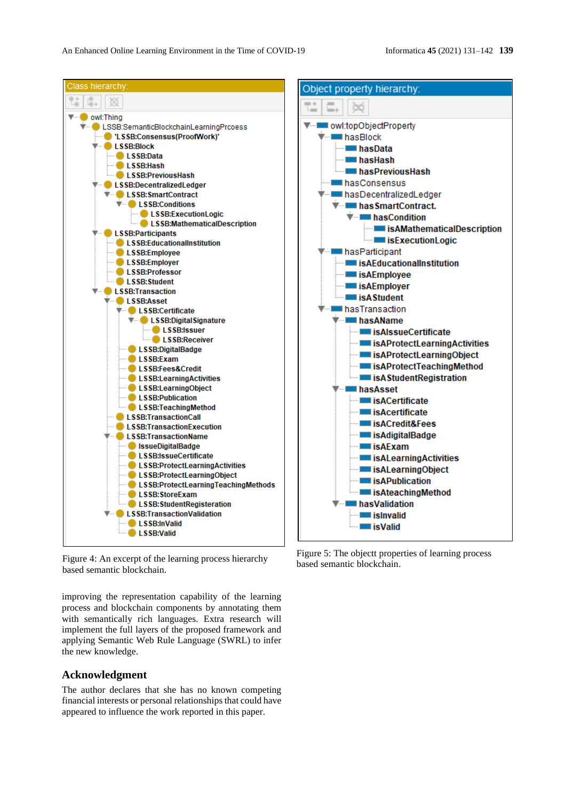

Figure 4: An excerpt of the learning process hierarchy based semantic blockchain.

improving the representation capability of the learning process and blockchain components by annotating them with semantically rich languages. Extra research will implement the full layers of the proposed framework and applying Semantic Web Rule Language (SWRL) to infer the new knowledge.

#### **Acknowledgment**

The author declares that she has no known competing financial interests or personal relationships that could have appeared to influence the work reported in this paper.

Figure 5: The objectt properties of learning process based semantic blockchain.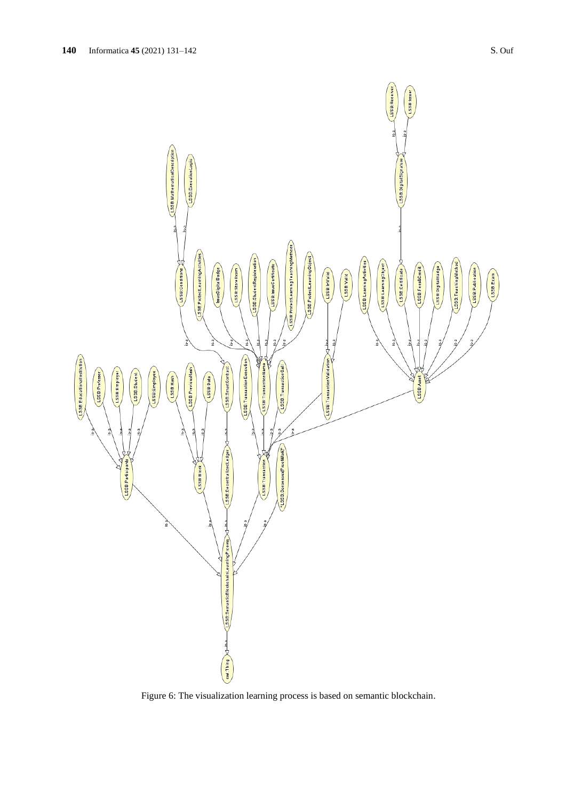

Figure 6: The visualization learning process is based on semantic blockchain.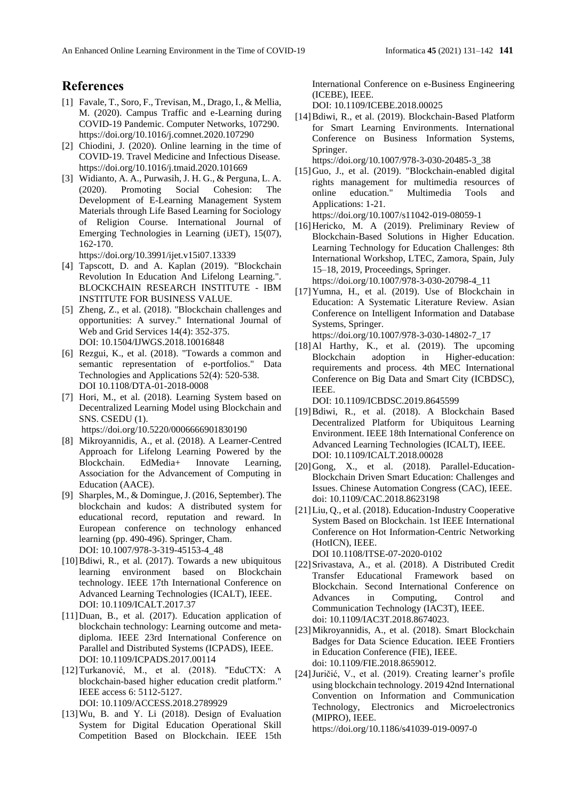## **References**

- [1] Favale, T., Soro, F., Trevisan, M., Drago, I., & Mellia, M. (2020). Campus Traffic and e-Learning during COVID-19 Pandemic. Computer Networks, 107290. https://doi.org/10.1016/j.comnet.2020.107290
- [2] Chiodini, J. (2020). Online learning in the time of COVID-19. Travel Medicine and Infectious Disease. https://doi.org/10.1016/j.tmaid.2020.101669
- [3] Widianto, A. A., Purwasih, J. H. G., & Perguna, L. A. (2020). Promoting Social Cohesion: The Development of E-Learning Management System Materials through Life Based Learning for Sociology of Religion Course. International Journal of Emerging Technologies in Learning (iJET), 15(07), 162-170.

https://doi.org/10.3991/ijet.v15i07.13339

- [4] Tapscott, D. and A. Kaplan (2019). "Blockchain Revolution In Education And Lifelong Learning.". BLOCKCHAIN RESEARCH INSTITUTE - IBM INSTITUTE FOR BUSINESS VALUE.
- [5] Zheng, Z., et al. (2018). "Blockchain challenges and opportunities: A survey." International Journal of Web and Grid Services 14(4): 352-375. DOI: 10.1504/IJWGS.2018.10016848
- [6] Rezgui, K., et al. (2018). "Towards a common and semantic representation of e-portfolios." Data Technologies and Applications 52(4): 520-538. DOI 10.1108/DTA-01-2018-0008
- [7] Hori, M., et al. (2018). Learning System based on Decentralized Learning Model using Blockchain and SNS. CSEDU (1). https://doi.org/10.5220/0006666901830190
- [8] Mikroyannidis, A., et al. (2018). A Learner-Centred Approach for Lifelong Learning Powered by the Blockchain. EdMedia+ Innovate Learning, Association for the Advancement of Computing in Education (AACE).
- [9] Sharples, M., & Domingue, J. (2016, September). The blockchain and kudos: A distributed system for educational record, reputation and reward. In European conference on technology enhanced learning (pp. 490-496). Springer, Cham. DOI: 10.1007/978-3-319-45153-4\_48
- [10]Bdiwi, R., et al. (2017). Towards a new ubiquitous learning environment based on Blockchain technology. IEEE 17th International Conference on Advanced Learning Technologies (ICALT), IEEE. DOI: 10.1109/ICALT.2017.37
- [11]Duan, B., et al. (2017). Education application of blockchain technology: Learning outcome and metadiploma. IEEE 23rd International Conference on Parallel and Distributed Systems (ICPADS), IEEE. DOI: 10.1109/ICPADS.2017.00114
- [12]Turkanović, M., et al. (2018). "EduCTX: A blockchain-based higher education credit platform." IEEE access 6: 5112-5127. DOI: 10.1109/ACCESS.2018.2789929
- [13]Wu, B. and Y. Li (2018). Design of Evaluation System for Digital Education Operational Skill Competition Based on Blockchain. IEEE 15th

International Conference on e-Business Engineering (ICEBE), IEEE.

DOI: 10.1109/ICEBE.2018.00025

[14]Bdiwi, R., et al. (2019). Blockchain-Based Platform for Smart Learning Environments. International Conference on Business Information Systems, Springer.

https://doi.org/10.1007/978-3-030-20485-3\_38

- [15]Guo, J., et al. (2019). "Blockchain-enabled digital rights management for multimedia resources of online education." Multimedia Tools and Applications: 1-21. https://doi.org/10.1007/s11042-019-08059-1
- [16] Hericko, M. A (2019). Preliminary Review of Blockchain-Based Solutions in Higher Education. Learning Technology for Education Challenges: 8th International Workshop, LTEC, Zamora, Spain, July 15–18, 2019, Proceedings, Springer. https://doi.org/10.1007/978-3-030-20798-4\_11

[17]Yumna, H., et al. (2019). Use of Blockchain in Education: A Systematic Literature Review. Asian Conference on Intelligent Information and Database Systems, Springer.

https://doi.org/10.1007/978-3-030-14802-7\_17 [18]Al Harthy, K., et al. (2019). The upcoming Blockchain adoption in Higher-education: requirements and process. 4th MEC International Conference on Big Data and Smart City (ICBDSC), IEEE.

DOI: 10.1109/ICBDSC.2019.8645599

- [19]Bdiwi, R., et al. (2018). A Blockchain Based Decentralized Platform for Ubiquitous Learning Environment. IEEE 18th International Conference on Advanced Learning Technologies (ICALT), IEEE. DOI: 10.1109/ICALT.2018.00028
- [20]Gong, X., et al. (2018). Parallel-Education-Blockchain Driven Smart Education: Challenges and Issues. Chinese Automation Congress (CAC), IEEE. doi: 10.1109/CAC.2018.8623198
- [21]Liu, Q., et al. (2018). Education-Industry Cooperative System Based on Blockchain. 1st IEEE International Conference on Hot Information-Centric Networking (HotICN), IEEE.

DOI 10.1108/ITSE-07-2020-0102

- [22]Srivastava, A., et al. (2018). A Distributed Credit Transfer Educational Framework based on Blockchain. Second International Conference on Advances in Computing, Control and Communication Technology (IAC3T), IEEE. doi: 10.1109/IAC3T.2018.8674023.
- [23]Mikroyannidis, A., et al. (2018). Smart Blockchain Badges for Data Science Education. IEEE Frontiers in Education Conference (FIE), IEEE. doi: 10.1109/FIE.2018.8659012.
- [24]Juričić, V., et al. (2019). Creating learner's profile using blockchain technology. 2019 42nd International Convention on Information and Communication Technology, Electronics and Microelectronics (MIPRO), IEEE. https://doi.org/10.1186/s41039-019-0097-0